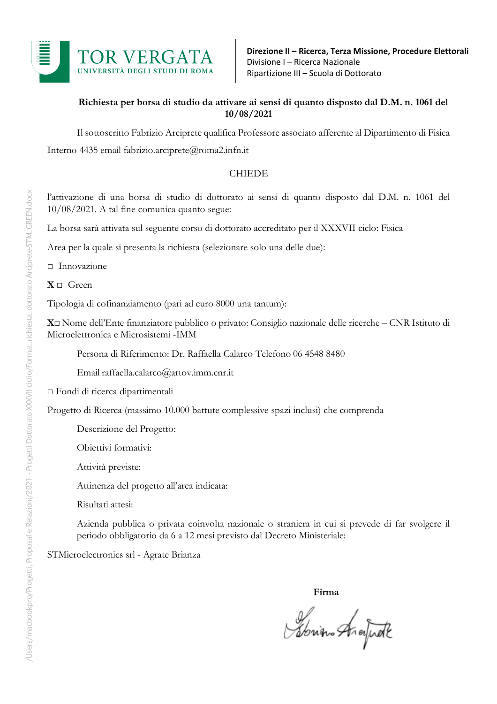

#### **Richiesta per borsa di studio da attivare ai sensi di quanto disposto dal D.M. n. 1061 del 10/08/2021**

Il sottoscritto Fabrizio Arciprete qualifica Professore associato afferente al Dipartimento di Fisica Interno 4435 email fabrizio.arciprete@roma2.infn.it

#### CHIEDE

l'attivazione di una borsa di studio di dottorato ai sensi di quanto disposto dal D.M. n. 1061 del 10/08/2021. A tal fine comunica quanto segue:

La borsa sarà attivata sul seguente corso di dottorato accreditato per il XXXVII ciclo: Fisica

Area per la quale si presenta la richiesta (selezionare solo una delle due):

□ Innovazione

 $X \sqcap$  Green

Tipologia di cofinanziamento (pari ad euro 8000 una tantum):

**X**□ Nome dell'Ente finanziatore pubblico o privato: Consiglio nazionale delle ricerche – CNR Istituto di Microelettronica e Microsistemi -IMM

Persona di Riferimento: Dr. Raffaella Calarco Telefono 06 4548 8480

Email raffaella.calarco@artov.imm.cnr.it

□ Fondi di ricerca dipartimentali

Progetto di Ricerca (massimo 10.000 battute complessive spazi inclusi) che comprenda

Descrizione del Progetto:

Obiettivi formativi:

Attività previste:

Attinenza del progetto all'area indicata:

Risultati attesi:

Azienda pubblica o privata coinvolta nazionale o straniera in cui si prevede di far svolgere il periodo obbligatorio da 6 a 12 mesi previsto dal Decreto Ministeriale:

STMicroelectronics srl - Agrate Brianza

**Firma**

Spring Analfude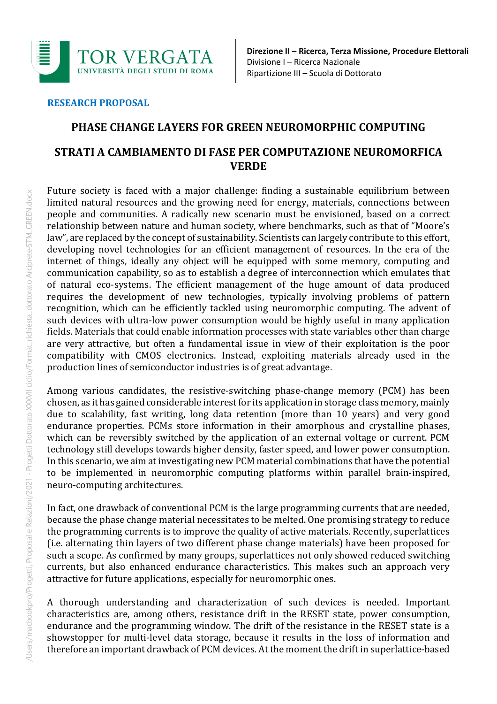

#### **RESEARCH PROPOSAL**

## **PHASE CHANGE LAYERS FOR GREEN NEUROMORPHIC COMPUTING**

# **STRATI A CAMBIAMENTO DI FASE PER COMPUTAZIONE NEUROMORFICA VERDE**

Future society is faced with a major challenge: finding a sustainable equilibrium between limited natural resources and the growing need for energy, materials, connections between people and communities. A radically new scenario must be envisioned, based on a correct relationship between nature and human society, where benchmarks, such as that of "Moore's law", are replaced by the concept of sustainability. Scientists can largely contribute to this effort, developing novel technologies for an efficient management of resources. In the era of the internet of things, ideally any object will be equipped with some memory, computing and communication capability, so as to establish a degree of interconnection which emulates that of natural eco-systems. The efficient management of the huge amount of data produced requires the development of new technologies, typically involving problems of pattern recognition, which can be efficiently tackled using neuromorphic computing. The advent of such devices with ultra-low power consumption would be highly useful in many application fields. Materials that could enable information processes with state variables other than charge are very attractive, but often a fundamental issue in view of their exploitation is the poor compatibility with CMOS electronics. Instead, exploiting materials already used in the production lines of semiconductor industries is of great advantage.

Among various candidates, the resistive-switching phase-change memory (PCM) has been chosen, as it has gained considerable interest for its application in storage class memory, mainly due to scalability, fast writing, long data retention (more than 10 years) and very good endurance properties. PCMs store information in their amorphous and crystalline phases, which can be reversibly switched by the application of an external voltage or current. PCM technology still develops towards higher density, faster speed, and lower power consumption. In this scenario, we aim at investigating new PCM material combinations that have the potential to be implemented in neuromorphic computing platforms within parallel brain-inspired, neuro-computing architectures.

In fact, one drawback of conventional PCM is the large programming currents that are needed, because the phase change material necessitates to be melted. One promising strategy to reduce the programming currents is to improve the quality of active materials. Recently, superlattices (i.e. alternating thin layers of two different phase change materials) have been proposed for such a scope. As confirmed by many groups, superlattices not only showed reduced switching currents, but also enhanced endurance characteristics. This makes such an approach very attractive for future applications, especially for neuromorphic ones.

A thorough understanding and characterization of such devices is needed. Important characteristics are, among others, resistance drift in the RESET state, power consumption, endurance and the programming window. The drift of the resistance in the RESET state is a showstopper for multi-level data storage, because it results in the loss of information and therefore an important drawback of PCM devices. At the moment the drift in superlattice-based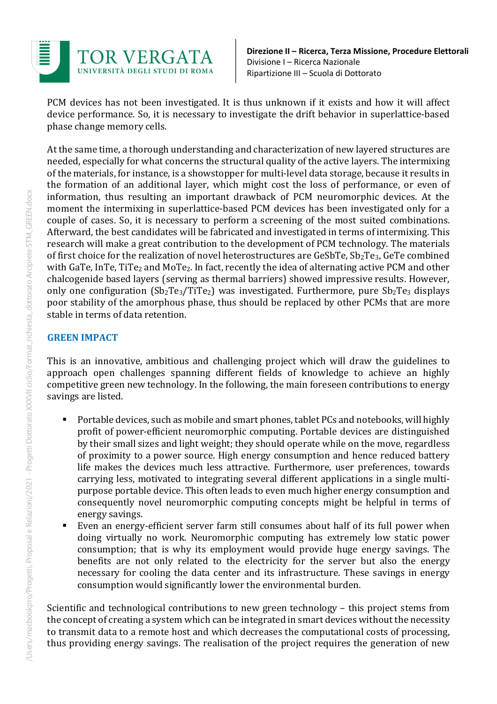

PCM devices has not been investigated. It is thus unknown if it exists and how it will affect device performance. So, it is necessary to investigate the drift behavior in superlattice-based phase change memory cells.

At the same time, a thorough understanding and characterization of new layered structures are needed, especially for what concerns the structural quality of the active layers. The intermixing of the materials, for instance, is a showstopper for multi-level data storage, because it results in the formation of an additional layer, which might cost the loss of performance, or even of information, thus resulting an important drawback of PCM neuromorphic devices. At the moment the intermixing in superlattice-based PCM devices has been investigated only for a couple of cases. So, it is necessary to perform a screening of the most suited combinations. Afterward, the best candidates will be fabricated and investigated in terms of intermixing. This research will make a great contribution to the development of PCM technology. The materials of first choice for the realization of novel heterostructures are  $GeSbTe$ ,  $Sb<sub>2</sub>Te<sub>3</sub>$ ,  $GeTe$  combined with GaTe, InTe, TiTe<sub>2</sub> and MoTe<sub>2</sub>. In fact, recently the idea of alternating active PCM and other chalcogenide based layers (serving as thermal barriers) showed impressive results. However, only one configuration  $(Sb_2Te_3/TiTe_2)$  was investigated. Furthermore, pure  $Sb_2Te_3$  displays poor stability of the amorphous phase, thus should be replaced by other PCMs that are more stable in terms of data retention.

### **GREEN IMPACT**

This is an innovative, ambitious and challenging project which will draw the guidelines to approach open challenges spanning different fields of knowledge to achieve an highly competitive green new technology. In the following, the main foreseen contributions to energy savings are listed.

- Portable devices, such as mobile and smart phones, tablet PCs and notebooks, will highly profit of power-efficient neuromorphic computing. Portable devices are distinguished by their small sizes and light weight; they should operate while on the move, regardless of proximity to a power source. High energy consumption and hence reduced battery life makes the devices much less attractive. Furthermore, user preferences, towards carrying less, motivated to integrating several different applications in a single multipurpose portable device. This often leads to even much higher energy consumption and consequently novel neuromorphic computing concepts might be helpful in terms of energy savings.
- Even an energy-efficient server farm still consumes about half of its full power when doing virtually no work. Neuromorphic computing has extremely low static power consumption; that is why its employment would provide huge energy savings. The benefits are not only related to the electricity for the server but also the energy necessary for cooling the data center and its infrastructure. These savings in energy consumption would significantly lower the environmental burden.

Scientific and technological contributions to new green technology – this project stems from the concept of creating a system which can be integrated in smart devices without the necessity to transmit data to a remote host and which decreases the computational costs of processing, thus providing energy savings. The realisation of the project requires the generation of new